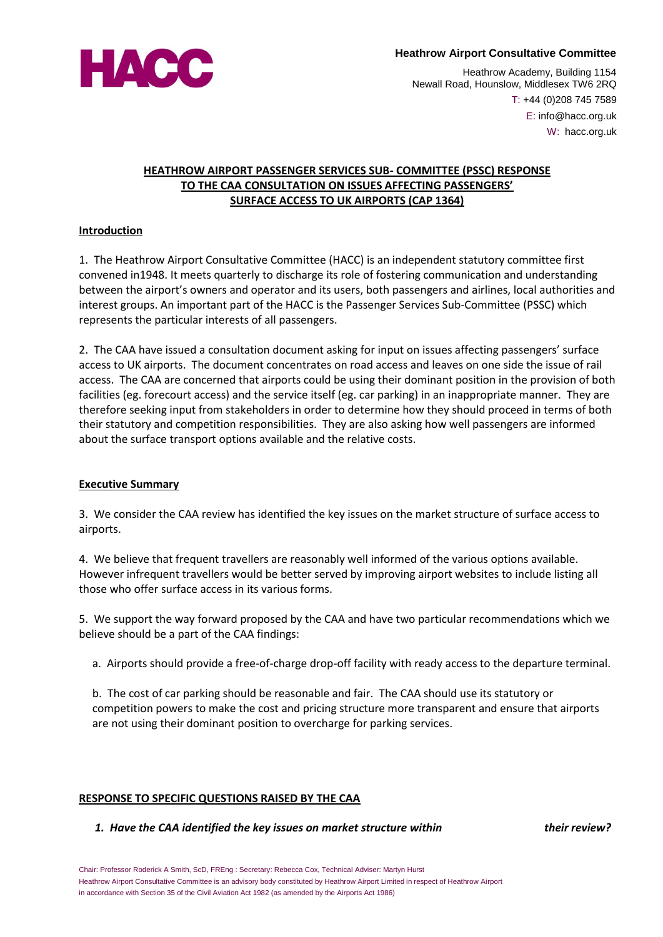

#### **Heathrow Airport Consultative Committee**

Heathrow Academy, Building 1154 Newall Road, Hounslow, Middlesex TW6 2RQ T: +44 (0)208 745 7589 E: info@hacc.org.uk W: hacc.org.uk

## **HEATHROW AIRPORT PASSENGER SERVICES SUB- COMMITTEE (PSSC) RESPONSE TO THE CAA CONSULTATION ON ISSUES AFFECTING PASSENGERS' SURFACE ACCESS TO UK AIRPORTS (CAP 1364)**

#### **Introduction**

1. The Heathrow Airport Consultative Committee (HACC) is an independent statutory committee first convened in1948. It meets quarterly to discharge its role of fostering communication and understanding between the airport's owners and operator and its users, both passengers and airlines, local authorities and interest groups. An important part of the HACC is the Passenger Services Sub-Committee (PSSC) which represents the particular interests of all passengers.

2. The CAA have issued a consultation document asking for input on issues affecting passengers' surface access to UK airports. The document concentrates on road access and leaves on one side the issue of rail access. The CAA are concerned that airports could be using their dominant position in the provision of both facilities (eg. forecourt access) and the service itself (eg. car parking) in an inappropriate manner. They are therefore seeking input from stakeholders in order to determine how they should proceed in terms of both their statutory and competition responsibilities. They are also asking how well passengers are informed about the surface transport options available and the relative costs.

#### **Executive Summary**

3. We consider the CAA review has identified the key issues on the market structure of surface access to airports.

4. We believe that frequent travellers are reasonably well informed of the various options available. However infrequent travellers would be better served by improving airport websites to include listing all those who offer surface access in its various forms.

5. We support the way forward proposed by the CAA and have two particular recommendations which we believe should be a part of the CAA findings:

a. Airports should provide a free-of-charge drop-off facility with ready access to the departure terminal.

b. The cost of car parking should be reasonable and fair. The CAA should use its statutory or competition powers to make the cost and pricing structure more transparent and ensure that airports are not using their dominant position to overcharge for parking services.

### **RESPONSE TO SPECIFIC QUESTIONS RAISED BY THE CAA**

#### *1. Have the CAA identified the key issues on market structure within their review?*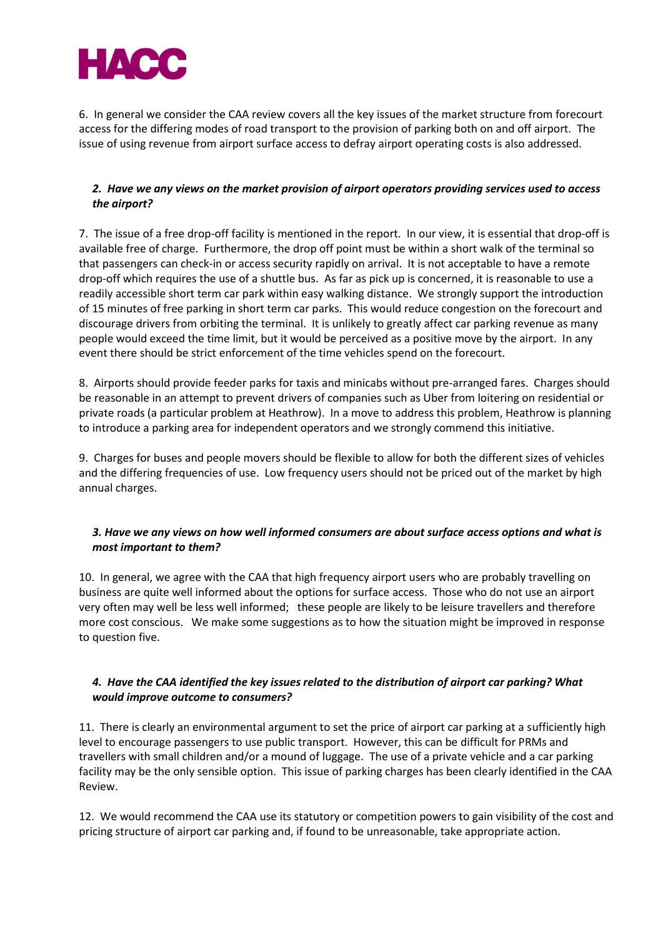

6. In general we consider the CAA review covers all the key issues of the market structure from forecourt access for the differing modes of road transport to the provision of parking both on and off airport. The issue of using revenue from airport surface access to defray airport operating costs is also addressed.

# *2. Have we any views on the market provision of airport operators providing services used to access the airport?*

7. The issue of a free drop-off facility is mentioned in the report. In our view, it is essential that drop-off is available free of charge. Furthermore, the drop off point must be within a short walk of the terminal so that passengers can check-in or access security rapidly on arrival. It is not acceptable to have a remote drop-off which requires the use of a shuttle bus. As far as pick up is concerned, it is reasonable to use a readily accessible short term car park within easy walking distance. We strongly support the introduction of 15 minutes of free parking in short term car parks. This would reduce congestion on the forecourt and discourage drivers from orbiting the terminal. It is unlikely to greatly affect car parking revenue as many people would exceed the time limit, but it would be perceived as a positive move by the airport. In any event there should be strict enforcement of the time vehicles spend on the forecourt.

8. Airports should provide feeder parks for taxis and minicabs without pre-arranged fares. Charges should be reasonable in an attempt to prevent drivers of companies such as Uber from loitering on residential or private roads (a particular problem at Heathrow). In a move to address this problem, Heathrow is planning to introduce a parking area for independent operators and we strongly commend this initiative.

9. Charges for buses and people movers should be flexible to allow for both the different sizes of vehicles and the differing frequencies of use. Low frequency users should not be priced out of the market by high annual charges.

# *3. Have we any views on how well informed consumers are about surface access options and what is most important to them?*

10. In general, we agree with the CAA that high frequency airport users who are probably travelling on business are quite well informed about the options for surface access. Those who do not use an airport very often may well be less well informed; these people are likely to be leisure travellers and therefore more cost conscious. We make some suggestions as to how the situation might be improved in response to question five.

# *4. Have the CAA identified the key issues related to the distribution of airport car parking? What would improve outcome to consumers?*

11. There is clearly an environmental argument to set the price of airport car parking at a sufficiently high level to encourage passengers to use public transport. However, this can be difficult for PRMs and travellers with small children and/or a mound of luggage. The use of a private vehicle and a car parking facility may be the only sensible option. This issue of parking charges has been clearly identified in the CAA Review.

12. We would recommend the CAA use its statutory or competition powers to gain visibility of the cost and pricing structure of airport car parking and, if found to be unreasonable, take appropriate action.